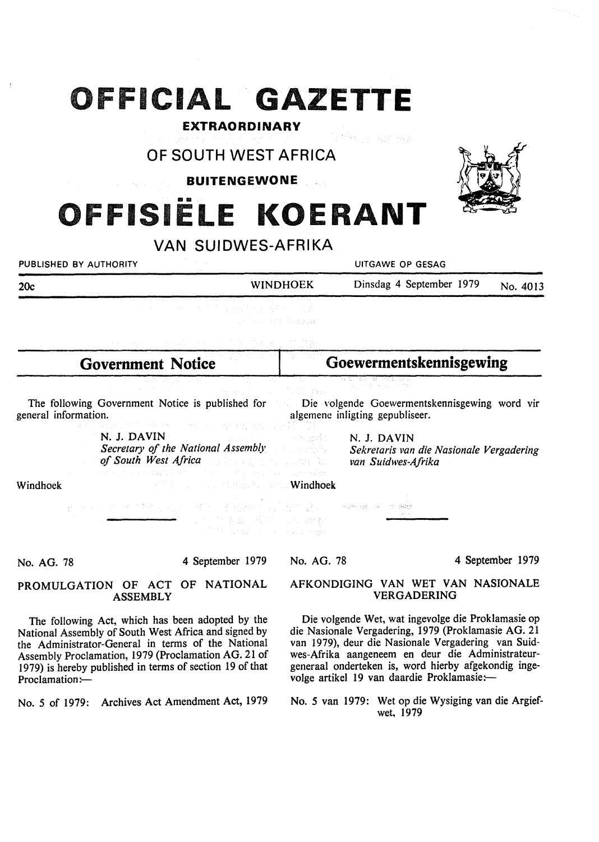## **OFFICIAL GAZETTE**

#### **EXTRAORDINARY**

## **OF SOUTH WEST AFRICA**

#### **BUITENGEWONE**

# **OFFISIELE KOERANT**

## **VAN SUIDWES-AFRIKA**

PUBLISHED BY AUTHORITY **AUTHORITY CONSUMING A SECOND ACT OF A SECOND ATT** UITGAWE OP GESAG

| 20c | <b>WINDHOEK</b>                                                                                                                                                                                                                                                           | Dinsdag 4 September 1979 | No. 4013 |
|-----|---------------------------------------------------------------------------------------------------------------------------------------------------------------------------------------------------------------------------------------------------------------------------|--------------------------|----------|
|     | <u>the contract of the contract of the contract of the contract of the contract of the contract of the contract of the contract of the contract of the contract of the contract of the contract of the contract of the contract </u><br>그녀는 이 큰 사람들이 이를 발달한 것을 보였다. 이것 같아 |                          |          |
|     | しょうしゃい はいと ひやきあぬれ                                                                                                                                                                                                                                                         |                          |          |

| <b>Government Notice</b> | <b>Goewermentskennisgewing</b> |
|--------------------------|--------------------------------|
|                          |                                |
|                          |                                |

The following Government Notice is published for Die volgende Goewermentskennisgewing word vir general information. algemene inligting gepubliseer.

> **N. J. DAVIN**  angel: *Secretary of the National Assembly of South West Africa*  . A Richard

**N. J. DAVIN**  *Sekretaris van die Nasionale Vergadering van Suidwes-Afrika* 

Windhoek

| 남자는 그가 세계한 것 같은 것이 없어. 그는 일반에 있는 일이 없는 것이 해야 해야 해야 해.                                                          |  |
|----------------------------------------------------------------------------------------------------------------|--|
| sta ili 1995 della contra la controlla della controlla della controlla della controlla della controlla della c |  |

Windhoek (Windhoek

No. AG. 78

4 September 1979

No. AG. 78

4 September 1979

#### **PROMULGATION** OF **ACT OF NATIONAL ASSEMBLY**

The following Act, which has been adopted by the National Assembly of South West Africa and signed by the Administrator-General in terms of the National Assembly Proclamation, 1979 (Proclamation AG. 21 of I 979) is hereby published in terms of section 19 of that Proclamation:-

No. *5* of 1979: Archives Act Amendment Act, 1979

#### AFKONDIGING VAN WET VAN NASIONALE VERGADERING

Die volgende Wet, wat ingevolge die Proklamasie op die Nasionale Vergadering, 1979 (Proklamasie AG. 21 van 1979), deur die Nasionale Vergadering van Suidwes-Afrika aangeneem en deur die Administrateurgeneraal onderteken is, word hierby afgekondig ingevolge artikel 19 van daardie Proklamasie:-

No. *5* van 1979: Wet op die Wysiging van die Argiefwet, 1979

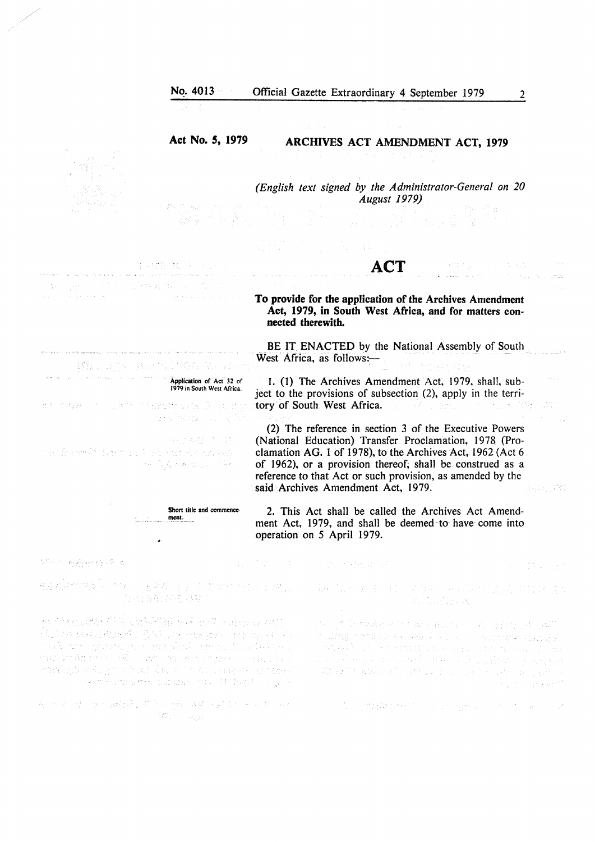**Act No. 5, 1979** 

· Application *or* Act 32 or 1979 in South West Africa.

wakilingan untuk

昇行式登 さい返

Short title and commence

#### **ARCHIVES ACT AMENDMENT ACT, 1979**

*(English text signed by the Administrator-General on 20 August 1979)* 

## **ACT**

**To provide for the application of the Archives** Amendment **Act, 1979, in South West Africa, and for matters connected therewith.** 

BE IT ENACTED by the National Assembly of South West Africa, as follows:-

I. (1) The Archives Amendment Act, 1979, shall, subject to the provisions of subsection (2), apply in the terri-<br>tory of South West Africa. tory of South West Africa.

(2) The reference in section 3 of the Executive Powers (National Education) Transfer Proclamation, 1978 (Proclamation AG. 1 of 1978), to the Archives Act, 1962 (Act 6 of 1962), or a provision thereof; shall be construed as a reference to that Act or such provision, as amended by the and a<sup>ny</sup> said Archives Amendment Act, 1979.

2. This Act shall be called the Archives Act Amendment Act, 1979, and shall be deemed-to have come into operation on *5* April 1979.

不是 全中心 的复数无精炼神经

STET Regency-Oft

会社や安成した。 图案是《学习》第24年的探测过基础上。 () 功 网络() (公割) 特別

ment.

Sex the 14 mile any of a sign age.  $\frac{1}{2}$  ,  $\frac{1}{2}$  ,  $\frac{1}{2}$  ,  $\frac{1}{2}$  ,  $\frac{1}{2}$  ,  $\frac{1}{2}$  ,  $\frac{1}{2}$  ,  $\frac{1}{2}$  ,  $\frac{1}{2}$  ,  $\frac{1}{2}$ 

such the little.

afil dak such industry

Regarder of the state of support world.

de Schaalfort (2 augustus and company self. e provinciamente de la constitución de la constitución de la constitución de la constitución de la constitució<br>La constitución de la constitución de la constitución de la constitución de la constitución de la constitución ram hinnel yn chad diwr yr eisinianno amfalg sema territori circostesco (1 (62) turques

法不能 医三指肠 化氧化物 经销售价格 医骨板 网络阿尔曼尼克 经分配的 化二硫酸 **CONTRACTOR** 

最低的 作者 经通过 人名英格兰姓氏 医神经的 走出地 .<br>Die Steeds

onlight largest and are made into patiented and m sakipung pasa kuma kala kalikul secalah magmatika kalikulahan ana timo di sebeluar dan masa yang mengangkan pengangkan pengangkan pengangkan pengangkan pengangkan pengangkan with be intransposable of the ends of the project of the problem of the second second second second second second second second second second second second second second second second second second second second second sec ng tinggal ang

**2. 会计 网络绿红色红色 医不全性性病的** 

 $\label{eq:3.1} \hat{\mathcal{Z}}_{\text{c}} = \hat{\mathcal{Z}}_{\text{c}} \hat{\mathcal{Z}}_{\text{c}} = \hat{\mathcal{Z}}_{\text{c}} \hat{\mathcal{Z}}_{\text{c}} = 0.$ 

 $\sim$ 

 $\mathcal{W}^{\mathcal{U}}$ 

 $\mathcal{H}(\mathcal{O}_{\mathcal{C},\mathcal{C},\mathcal{C}})$